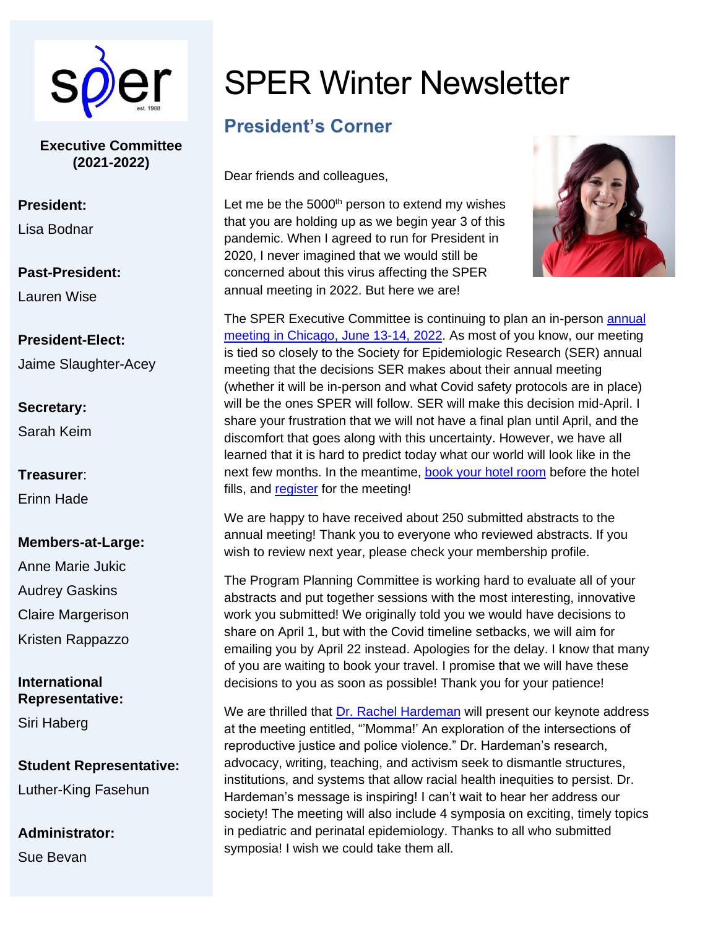

**Executive Committee (2021-2022)**

#### **President:**

Lisa Bodnar

**Past-President:** Lauren Wise

**President-Elect:**  Jaime Slaughter-Acey

## **Secretary:** Sarah Keim

**Treasurer**: Erinn Hade

#### **Members-at-Large:**

Anne Marie Jukic Audrey Gaskins Claire Margerison Kristen Rappazzo

#### **International Representative:**

Siri Haberg

**Student Representative:** Luther-King Fasehun

**Administrator:**  Sue Bevan

# SPER Winter Newsletter

# **President's Corner**

Dear friends and colleagues,

Let me be the  $5000<sup>th</sup>$  person to extend my wishes that you are holding up as we begin year 3 of this pandemic. When I agreed to run for President in 2020, I never imagined that we would still be concerned about this virus affecting the SPER annual meeting in 2022. But here we are!



The SPER Executive Committee is continuing to plan an in-person [annual](https://sper.org/annual-meeting-2/)  [meeting in Chicago, June 13-14, 2022.](https://sper.org/annual-meeting-2/) As most of you know, our meeting is tied so closely to the Society for Epidemiologic Research (SER) annual meeting that the decisions SER makes about their annual meeting (whether it will be in-person and what Covid safety protocols are in place) will be the ones SPER will follow. SER will make this decision mid-April. I share your frustration that we will not have a final plan until April, and the discomfort that goes along with this uncertainty. However, we have all learned that it is hard to predict today what our world will look like in the next few months. In the meantime, [book your hotel room](https://sper.org/annual-meeting-2/venue-accommodations/) before the hotel fills, and [register](https://sper.org/annual-meeting-2/registration-information/) for the meeting!

We are happy to have received about 250 submitted abstracts to the annual meeting! Thank you to everyone who reviewed abstracts. If you wish to review next year, please check your membership profile.

The Program Planning Committee is working hard to evaluate all of your abstracts and put together sessions with the most interesting, innovative work you submitted! We originally told you we would have decisions to share on April 1, but with the Covid timeline setbacks, we will aim for emailing you by April 22 instead. Apologies for the delay. I know that many of you are waiting to book your travel. I promise that we will have these decisions to you as soon as possible! Thank you for your patience!

We are thrilled that [Dr. Rachel Hardeman](https://www.rachelhardeman.com/) will present our keynote address at the meeting entitled, "'Momma!' An exploration of the intersections of reproductive justice and police violence." Dr. Hardeman's research, advocacy, writing, teaching, and activism seek to dismantle structures, institutions, and systems that allow racial health inequities to persist. Dr. Hardeman's message is inspiring! I can't wait to hear her address our society! The meeting will also include 4 symposia on exciting, timely topics in pediatric and perinatal epidemiology. Thanks to all who submitted symposia! I wish we could take them all.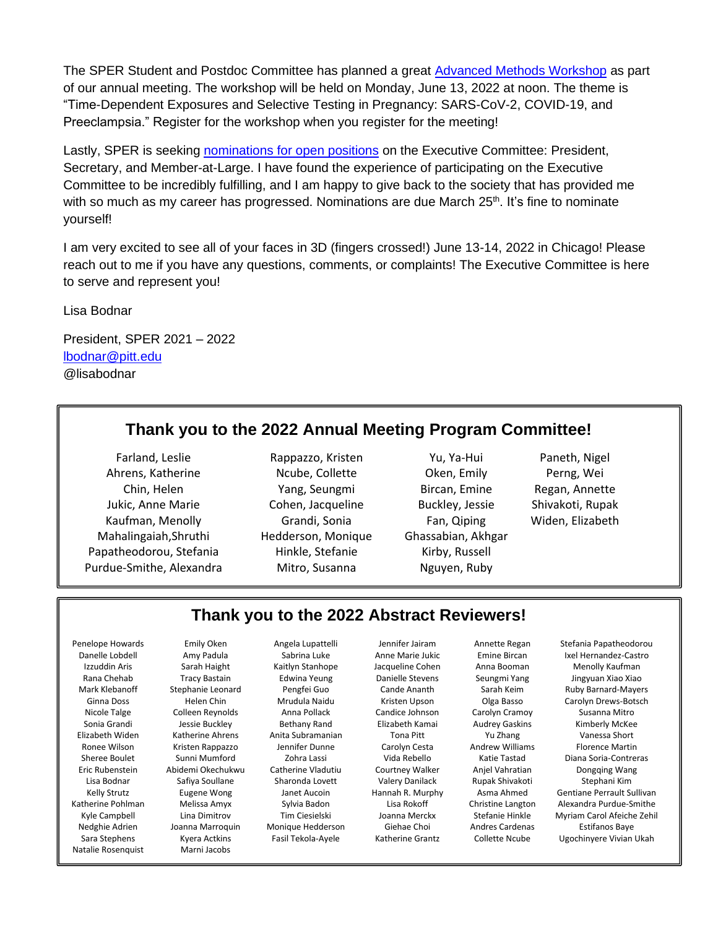The SPER Student and Postdoc Committee has planned a great [Advanced Methods Workshop](https://sper.org/annual-meeting-2/advanced-methods-workshop/) as part of our annual meeting. The workshop will be held on Monday, June 13, 2022 at noon. The theme is "Time-Dependent Exposures and Selective Testing in Pregnancy: SARS-CoV-2, COVID-19, and Preeclampsia." Register for the workshop when you register for the meeting!

Lastly, SPER is seeking [nominations for open positions](https://sper.org/executive-committee-call-for-nominations/) on the Executive Committee: President, Secretary, and Member-at-Large. I have found the experience of participating on the Executive Committee to be incredibly fulfilling, and I am happy to give back to the society that has provided me with so much as my career has progressed. Nominations are due March  $25<sup>th</sup>$ . It's fine to nominate yourself!

I am very excited to see all of your faces in 3D (fingers crossed!) June 13-14, 2022 in Chicago! Please reach out to me if you have any questions, comments, or complaints! The Executive Committee is here to serve and represent you!

Lisa Bodnar

President, SPER 2021 – 2022 [lbodnar@pitt.edu](mailto:lbodnar@pitt.edu) @lisabodnar

## **Thank you to the 2022 Annual Meeting Program Committee!**

Ahrens, Katherine **National Collective Collette** Collecte Oken, Emily Perng, Wei Jukic, Anne Marie Cohen, Jacqueline Buckley, Jessie Shivakoti, Rupak Kaufman, Menolly **Grandi, Sonia** Fan, Qiping Widen, Elizabeth Mahalingaiah,Shruthi Hedderson, Monique Ghassabian, Akhgar Papatheodorou, Stefania Hinkle, Stefanie Kirby, Russell Purdue-Smithe, Alexandra Mitro, Susanna Nguyen, Ruby

Chin, Helen Yang, Seungmi Bircan, Emine Regan, Annette

Farland, Leslie **Rappazzo, Kristen Manuel Yu, Ya-Hui** Paneth, Nigel

#### **Thank you to the 2022 Abstract Reviewers!**

Penelope Howards Emily Oken Angela Lupattelli Jennifer Jairam Annette Regan Stefania Papatheodorou Natalie Rosenquist Marni Jacobs

Nicole Talge Colleen Reynolds Anna Pollack Candice Johnson Carolyn Cramoy Susanna Mitro Sonia Grandi Sessie Buckley Bethany Rand Bizabeth Kamai Audrey Gaskins Kimberly McKee Elizabeth Widen Katherine Ahrens Anita Subramanian Tona Pitt Nu Zhang Vanessa Short Vanessa Short<br>Ronee Wilson Kristen Bannazzo Iennifer Dunne Carolyn Cesta Andrew Williams Florence Martir Ronee Wilson Kristen Rappazzo Jennifer Dunne Carolyn Cesta Andrew Williams Florence Martin Eric Rubenstein Abidemi Okechukwu Catherine Vladutiu Courtney Walker Anjel Vahratian Dongqing Wang Lisa Bodnar Safiya Soullane Sharonda Lovett Valery Danilack Rupak Shivakoti Stephani Kim Nedghie Adrien Joanna Marroquin Monique Hedderson Giehae Choi Andres Cardenas Estifanos Baye

Danelle Lobdell Amy Padula Sabrina Luke Anne Marie Jukic Emine Bircan Ixel Hernandez-Castro Izzuddin Aris Sarah Haight Kaitlyn Stanhope Jacqueline Cohen Anna Booman Menolly Kaufman Rana Chehab Tracy Bastain Edwina Yeung Danielle Stevens Seungmi Yang Jingyuan Xiao Xiao Mark Klebanoff Stephanie Leonard Pengfei Guo Cande Ananth Sarah Keim Ruby Barnard-Mayers Ginna Doss Helen Chin Mrudula Naidu Kristen Upson Olga Basso Carolyn Drews-Botsch Sheree Boulet Sunni Mumford Zohra Lassi Vida Rebello Katie Tastad Diana Soria-Contreras Kelly Strutz **Eugene Wong Strutt Aucoin** Hannah R. Murphy Asma Ahmed Gentiane Perrault Sullivan Katherine Pohlman Melissa Amyx Sylvia Badon Lisa Rokoff Christine Langton Alexandra Purdue-Smithe Kyle Campbell Lina Dimitrov Tim Ciesielski Joanna Merckx Stefanie Hinkle Myriam Carol Afeiche Zehil Sara Stephens Kyera Actkins Fasil Tekola-Ayele Katherine Grantz Collette Ncube Ugochinyere Vivian Ukah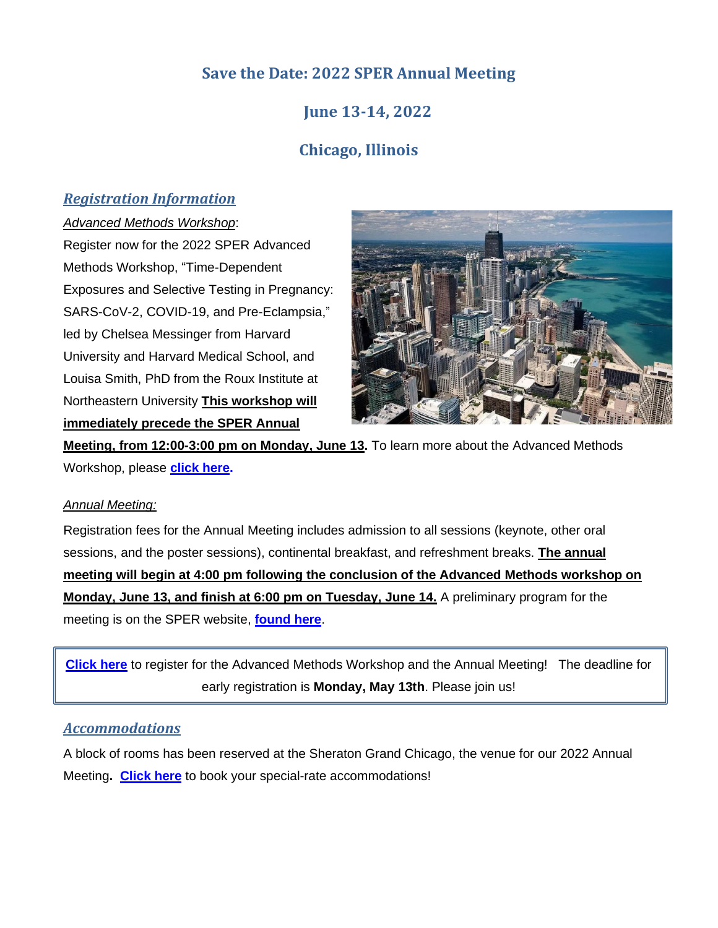## **Save the Date: 2022 SPER Annual Meeting**

## **June 13-14, 2022**

## **Chicago, Illinois**

## *Registration Information*

#### *Advanced Methods Workshop*:

Register now for the 2022 SPER Advanced Methods Workshop, "Time-Dependent Exposures and Selective Testing in Pregnancy: SARS-CoV-2, COVID-19, and Pre-Eclampsia," led by Chelsea Messinger from Harvard University and Harvard Medical School, and Louisa Smith, PhD from the Roux Institute at Northeastern University **This workshop will immediately precede the SPER Annual** 



**Meeting, from 12:00-3:00 pm on Monday, June 13.** To learn more about the Advanced Methods Workshop, please **[click here.](https://sper.org/annual-meeting-2/advanced-methods-workshop/)** 

#### *Annual Meeting:*  Ξ

Registration fees for the Annual Meeting includes admission to all sessions (keynote, other oral sessions, and the poster sessions), continental breakfast, and refreshment breaks. **The annual meeting will begin at 4:00 pm following the conclusion of the Advanced Methods workshop on Monday, June 13, and finish at 6:00 pm on Tuesday, June 14.** A preliminary program for the meeting is on the SPER website, **[found here](https://sper.org/wp-content/uploads/2022/03/SPER-preliminary-agenda-2022.pdf)**.

**[Click here](https://sper.org/annual-meeting-2/registration-information/)** to register for the Advanced Methods Workshop and the Annual Meeting! The deadline for early registration is **Monday, May 13th**. Please join us!

#### *Accommodations*

A block of rooms has been reserved at the Sheraton Grand Chicago, the venue for our 2022 Annual Meeting**. [Click here](https://sper.org/annual-meeting/venue-accommodations)** to book your special-rate accommodations!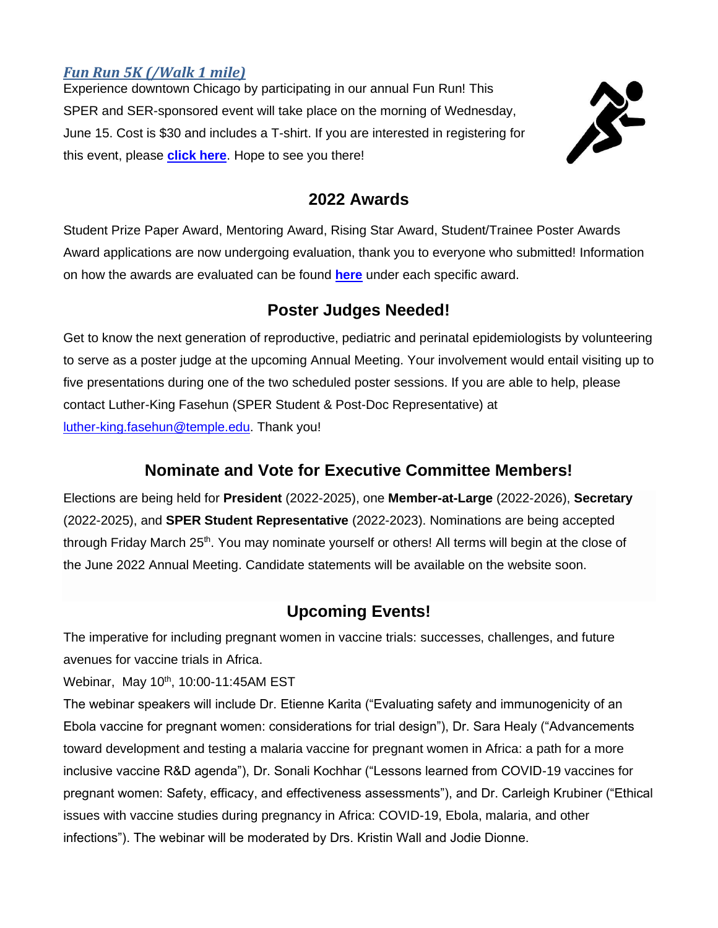## *Fun Run 5K (/Walk 1 mile)*

Experience downtown Chicago by participating in our annual Fun Run! This SPER and SER-sponsored event will take place on the morning of Wednesday, June 15. Cost is \$30 and includes a T-shirt. If you are interested in registering for this event, please **[click here](https://epiresearch.org/annual-meeting/2019-meeting/sersper-fun-run/)**. Hope to see you there!



## **2022 Awards**

Student Prize Paper Award, Mentoring Award, Rising Star Award, Student/Trainee Poster Awards Award applications are now undergoing evaluation, thank you to everyone who submitted! Information on how the awards are evaluated can be found **[here](https://sper.org/sper-awards/)** under each specific award.

## **Poster Judges Needed!**

Get to know the next generation of reproductive, pediatric and perinatal epidemiologists by volunteering to serve as a poster judge at the upcoming Annual Meeting. Your involvement would entail visiting up to five presentations during one of the two scheduled poster sessions. If you are able to help, please contact Luther-King Fasehun (SPER Student & Post-Doc Representative) at [luther-king.fasehun@temple.edu.](mailto:luther-king.fasehun@temple.edu) Thank you!

## **Nominate and Vote for Executive Committee Members!**

Elections are being held for **President** (2022-2025), one **Member-at-Large** (2022-2026), **Secretary** (2022-2025), and **SPER Student Representative** (2022-2023). Nominations are being accepted through Friday March 25<sup>th</sup>. You may nominate yourself or others! All terms will begin at the close of the June 2022 Annual Meeting. Candidate statements will be available on the website soon.

## **Upcoming Events!**

The imperative for including pregnant women in vaccine trials: successes, challenges, and future avenues for vaccine trials in Africa.

Webinar, May 10<sup>th</sup>, 10:00-11:45AM EST

The webinar speakers will include Dr. Etienne Karita ("Evaluating safety and immunogenicity of an Ebola vaccine for pregnant women: considerations for trial design"), Dr. Sara Healy ("Advancements toward development and testing a malaria vaccine for pregnant women in Africa: a path for a more inclusive vaccine R&D agenda"), Dr. Sonali Kochhar ("Lessons learned from COVID-19 vaccines for pregnant women: Safety, efficacy, and effectiveness assessments"), and Dr. Carleigh Krubiner ("Ethical issues with vaccine studies during pregnancy in Africa: COVID-19, Ebola, malaria, and other infections"). The webinar will be moderated by Drs. Kristin Wall and Jodie Dionne.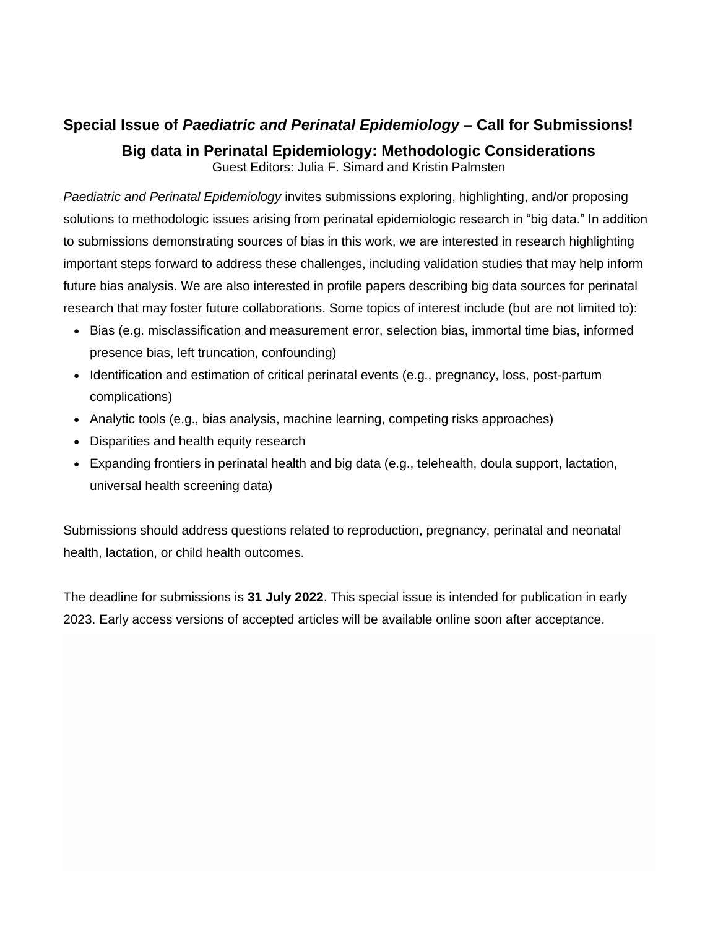## **Special Issue of** *Paediatric and Perinatal Epidemiology* **– Call for Submissions!**

**Big data in Perinatal Epidemiology: Methodologic Considerations** Guest Editors: Julia F. Simard and Kristin Palmsten

*Paediatric and Perinatal Epidemiology* invites submissions exploring, highlighting, and/or proposing solutions to methodologic issues arising from perinatal epidemiologic research in "big data." In addition to submissions demonstrating sources of bias in this work, we are interested in research highlighting important steps forward to address these challenges, including validation studies that may help inform future bias analysis. We are also interested in profile papers describing big data sources for perinatal research that may foster future collaborations. Some topics of interest include (but are not limited to):

- Bias (e.g. misclassification and measurement error, selection bias, immortal time bias, informed presence bias, left truncation, confounding)
- Identification and estimation of critical perinatal events (e.g., pregnancy, loss, post-partum complications)
- Analytic tools (e.g., bias analysis, machine learning, competing risks approaches)
- Disparities and health equity research
- Expanding frontiers in perinatal health and big data (e.g., telehealth, doula support, lactation, universal health screening data)

Submissions should address questions related to reproduction, pregnancy, perinatal and neonatal health, lactation, or child health outcomes.

The deadline for submissions is **31 July 2022**. This special issue is intended for publication in early 2023. Early access versions of accepted articles will be available online soon after acceptance.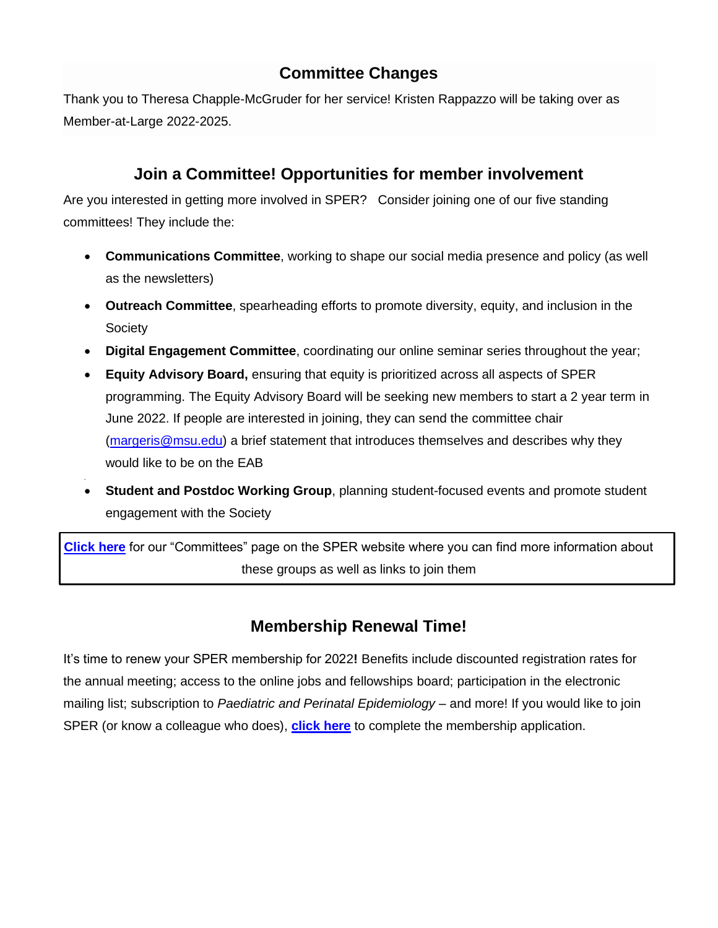## **Committee Changes**

Thank you to Theresa Chapple-McGruder for her service! Kristen Rappazzo will be taking over as Member-at-Large 2022-2025.

## **Join a Committee! Opportunities for member involvement**

Are you interested in getting more involved in SPER? Consider joining one of our five standing committees! They include the:

- **Communications Committee**, working to shape our social media presence and policy (as well as the newsletters)
- **Outreach Committee**, spearheading efforts to promote diversity, equity, and inclusion in the **Society**
- **Digital Engagement Committee**, coordinating our online seminar series throughout the year;
- **Equity Advisory Board,** ensuring that equity is prioritized across all aspects of SPER programming. The Equity Advisory Board will be seeking new members to start a 2 year term in June 2022. If people are interested in joining, they can send the committee chair [\(margeris@msu.edu\)](mailto:margeris@msu.edu) a brief statement that introduces themselves and describes why they would like to be on the EAB
- **Student and Postdoc Working Group**, planning student-focused events and promote student engagement with the Society

**[Click here](https://sper.org/committees/)** for our "Committees" page on the SPER website where you can find more information about these groups as well as links to join them

## **Membership Renewal Time!**

It's time to renew your SPER membership for 2022**!** Benefits include discounted registration rates for the annual meeting; access to the online jobs and fellowships board; participation in the electronic mailing list; subscription to *Paediatric and Perinatal Epidemiology* – and more! If you would like to join SPER (or know a colleague who does), **[click here](https://sper.org/membership/)** to complete the membership application.